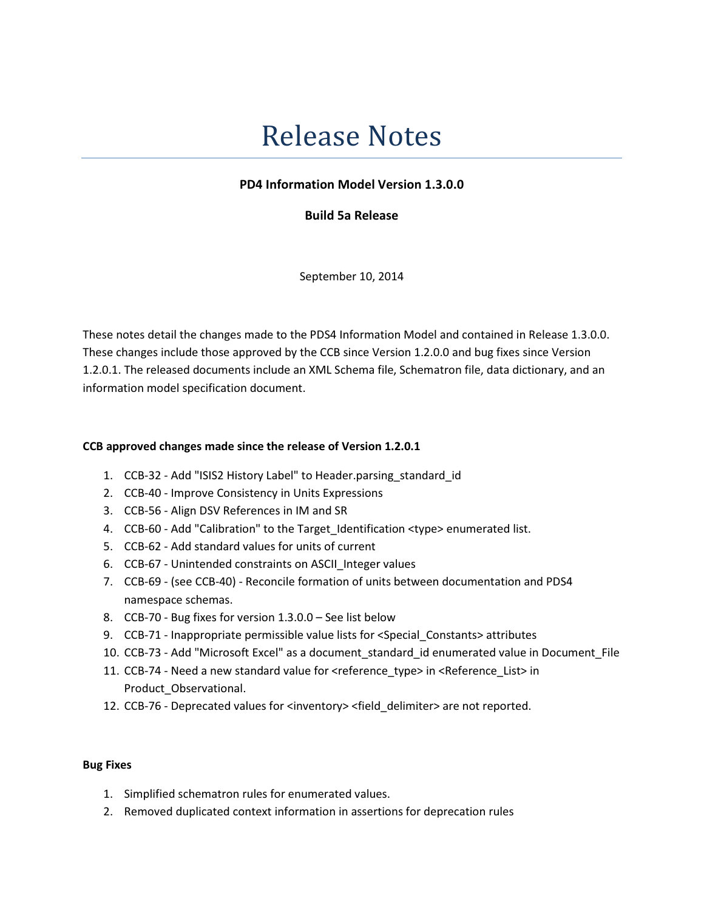## Release Notes

## PD4 Information Model Version 1.3.0.0

Build 5a Release

September 10, 2014

These notes detail the changes made to the PDS4 Information Model and contained in Release 1.3.0.0. These changes include those approved by the CCB since Version 1.2.0.0 and bug fixes since Version 1.2.0.1. The released documents include an XML Schema file, Schematron file, data dictionary, and an information model specification document.

## CCB approved changes made since the release of Version 1.2.0.1

- 1. CCB-32 Add "ISIS2 History Label" to Header.parsing\_standard\_id
- 2. CCB-40 Improve Consistency in Units Expressions
- 3. CCB-56 Align DSV References in IM and SR
- 4. CCB-60 Add "Calibration" to the Target\_Identification <type> enumerated list.
- 5. CCB-62 Add standard values for units of current
- 6. CCB-67 Unintended constraints on ASCII\_Integer values
- 7. CCB-69 (see CCB-40) Reconcile formation of units between documentation and PDS4 namespace schemas.
- 8. CCB-70 Bug fixes for version 1.3.0.0 See list below
- 9. CCB-71 Inappropriate permissible value lists for <Special\_Constants> attributes
- 10. CCB-73 Add "Microsoft Excel" as a document\_standard\_id enumerated value in Document\_File
- 11. CCB-74 Need a new standard value for <reference\_type> in <Reference\_List> in Product\_Observational.
- 12. CCB-76 Deprecated values for <inventory> <field\_delimiter> are not reported.

## Bug Fixes

- 1. Simplified schematron rules for enumerated values.
- 2. Removed duplicated context information in assertions for deprecation rules